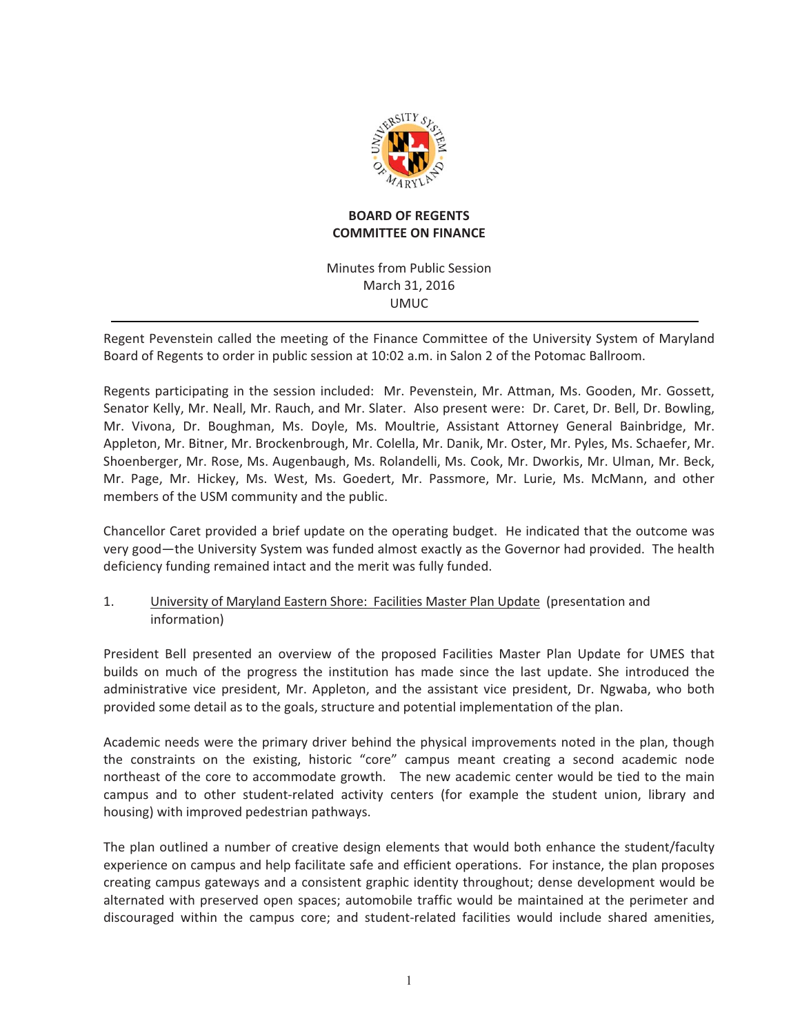

# **BOARD OF REGENTS COMMITTEE ON FINANCE**

# Minutes from Public Session March 31, 2016 UMUC-

Regent Pevenstein called the meeting of the Finance Committee of the University System of Maryland Board of Regents to order in public session at 10:02 a.m. in Salon 2 of the Potomac Ballroom.

Regents participating in the session included: Mr. Pevenstein, Mr. Attman, Ms. Gooden, Mr. Gossett, Senator Kelly, Mr. Neall, Mr. Rauch, and Mr. Slater. Also present were: Dr. Caret, Dr. Bell, Dr. Bowling, Mr. Vivona, Dr. Boughman, Ms. Doyle, Ms. Moultrie, Assistant Attorney General Bainbridge, Mr. Appleton, Mr. Bitner, Mr. Brockenbrough, Mr. Colella, Mr. Danik, Mr. Oster, Mr. Pyles, Ms. Schaefer, Mr. Shoenberger, Mr. Rose, Ms. Augenbaugh, Ms. Rolandelli, Ms. Cook, Mr. Dworkis, Mr. Ulman, Mr. Beck, Mr. Page, Mr. Hickey, Ms. West, Ms. Goedert, Mr. Passmore, Mr. Lurie, Ms. McMann, and other members of the USM community and the public.

Chancellor Caret provided a brief update on the operating budget. He indicated that the outcome was very good—the University System was funded almost exactly as the Governor had provided. The health deficiency funding remained intact and the merit was fully funded.

#### 1. University of Maryland Eastern Shore: Facilities Master Plan Update (presentation and information)

President Bell presented an overview of the proposed Facilities Master Plan Update for UMES that builds on much of the progress the institution has made since the last update. She introduced the administrative vice president, Mr. Appleton, and the assistant vice president, Dr. Ngwaba, who both provided some detail as to the goals, structure and potential implementation of the plan.

Academic needs were the primary driver behind the physical improvements noted in the plan, though the constraints on the existing, historic "core" campus meant creating a second academic node northeast of the core to accommodate growth. The new academic center would be tied to the main campus and to other student-related activity centers (for example the student union, library and housing) with improved pedestrian pathways.

The plan outlined a number of creative design elements that would both enhance the student/faculty experience on campus and help facilitate safe and efficient operations. For instance, the plan proposes creating campus gateways and a consistent graphic identity throughout; dense development would be alternated with preserved open spaces; automobile traffic would be maintained at the perimeter and discouraged within the campus core; and student-related facilities would include shared amenities,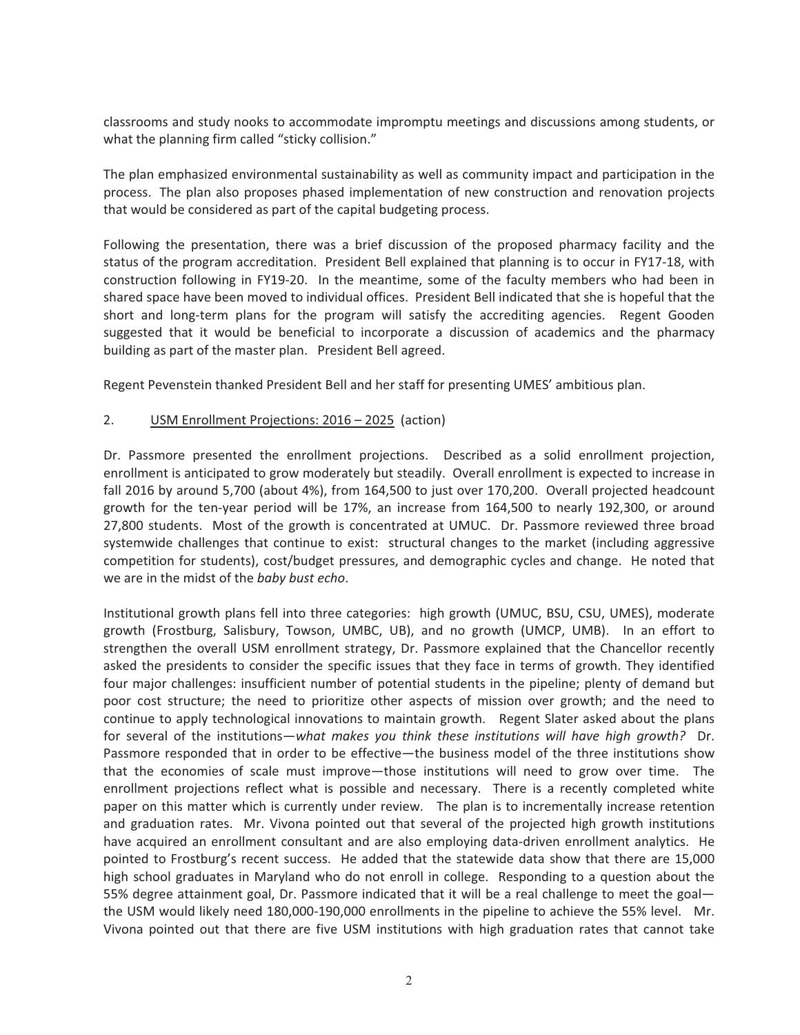classrooms and study nooks to accommodate impromptu meetings and discussions among students, or what the planning firm called "sticky collision."

The plan emphasized environmental sustainability as well as community impact and participation in the process. The plan also proposes phased implementation of new construction and renovation projects that would be considered as part of the capital budgeting process.

Following the presentation, there was a brief discussion of the proposed pharmacy facility and the status of the program accreditation. President Bell explained that planning is to occur in FY17-18, with construction following in FY19-20. In the meantime, some of the faculty members who had been in shared space have been moved to individual offices. President Bell indicated that she is hopeful that the short and long-term plans for the program will satisfy the accrediting agencies. Regent Gooden suggested that it would be beneficial to incorporate a discussion of academics and the pharmacy building as part of the master plan. President Bell agreed.

Regent Pevenstein thanked President Bell and her staff for presenting UMES' ambitious plan.

#### 2. USM Enrollment Projections: 2016 - 2025 (action)

Dr. Passmore presented the enrollment projections. Described as a solid enrollment projection, enrollment is anticipated to grow moderately but steadily. Overall enrollment is expected to increase in fall 2016 by around 5,700 (about 4%), from 164,500 to just over 170,200. Overall projected headcount growth for the ten-year period will be 17%, an increase from 164,500 to nearly 192,300, or around 27,800 students. Most of the growth is concentrated at UMUC. Dr. Passmore reviewed three broad systemwide challenges that continue to exist: structural changes to the market (including aggressive competition for students), cost/budget pressures, and demographic cycles and change. He noted that we are in the midst of the *baby bust echo*. *baby-*

Institutional growth plans fell into three categories: high growth (UMUC, BSU, CSU, UMES), moderate growth (Frostburg, Salisbury, Towson, UMBC, UB), and no growth (UMCP, UMB). In an effort to strengthen the overall USM enrollment strategy, Dr. Passmore explained that the Chancellor recently asked the presidents to consider the specific issues that they face in terms of growth. They identified four major challenges: insufficient number of potential students in the pipeline; plenty of demand but poor cost structure; the need to prioritize other aspects of mission over growth; and the need to continue to apply technological innovations to maintain growth. Regent Slater asked about the plans for-several of the institutions—what makes you think these institutions will have high growth? Dr.<br>Passmore responded that in order to be effective—the business model of the three institutions show Passmore responded that in order to be effective—the business model of the three institutions show that the economies of scale must improve—those institutions will need to grow over time. The enrollment projections reflect what is possible and necessary. There is a recently completed white paper on this matter which is currently under review. The plan is to incrementally increase retention and graduation rates. Mr. Vivona pointed out that several of the projected high growth institutions have acquired an enrollment consultant and are also employing data-driven enrollment analytics. He pointed to Frostburg's recent success. He added that the statewide data show that there are 15,000 high school graduates in Maryland who do not enroll in college. Responding to a question about the 55% degree attainment goal, Dr. Passmore indicated that it will be a real challenge to meet the goalthe USM would likely need 180,000-190,000 enrollments in the pipeline to achieve the 55% level. Mr. Vivona pointed out that there are five USM institutions with high graduation rates that cannot take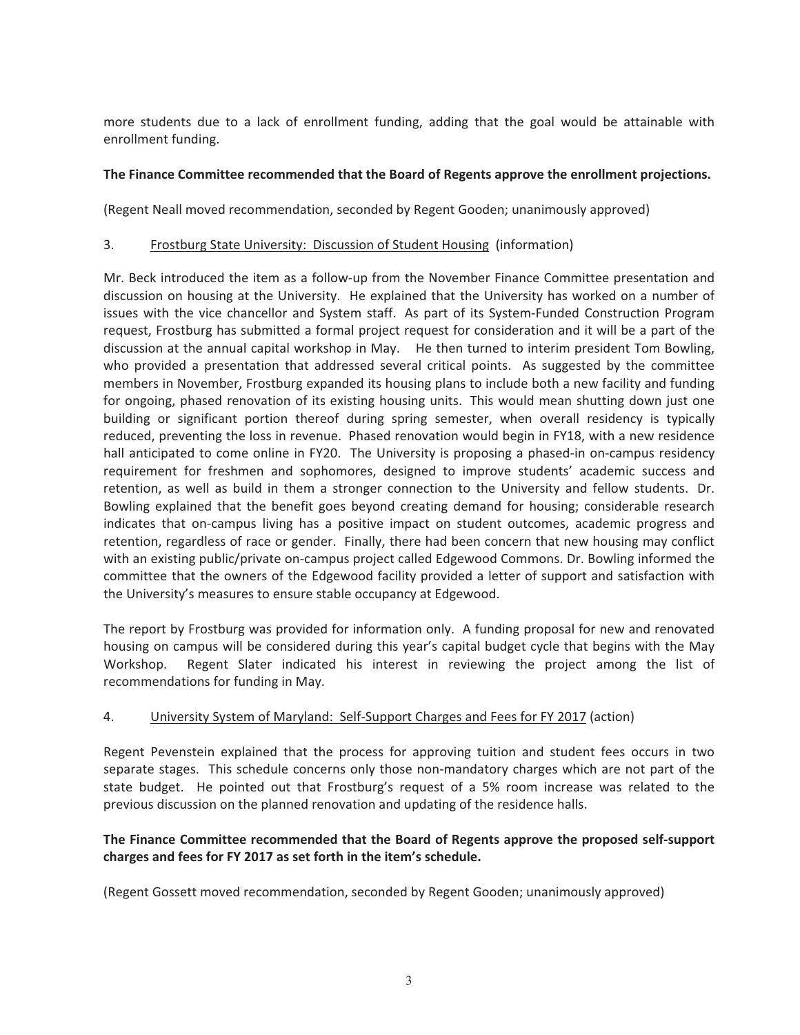more students due to a lack of enrollment funding, adding that the goal would be attainable with enrollment funding.

#### **The Finance Committee recommended that the Board of Regents approve the enrollment projections.**

(Regent Neall moved recommendation, seconded by Regent Gooden; unanimously approved)

### 3. Frostburg State University: Discussion of Student Housing (information)

Mr. Beck introduced the item as a follow-up from the November Finance Committee presentation and discussion on housing at the University. He explained that the University has worked on a number of issues with the vice chancellor and System staff. As part of its System-Funded Construction Program request, Frostburg has submitted a formal project request for consideration and it will be a part of the discussion at the annual capital workshop in May. He then turned to interim president Tom Bowling, who provided a presentation that addressed several critical points. As suggested by the committee members in November, Frostburg expanded its housing plans to include both a new facility and funding for ongoing, phased renovation of its existing housing units. This would mean shutting down just one building or significant portion thereof during spring semester, when overall residency is typically reduced, preventing the loss in revenue. Phased renovation would begin in FY18, with a new residence hall anticipated to come online in FY20. The University is proposing a phased-in on-campus residency requirement for freshmen and sophomores, designed to improve students' academic success and retention, as well as build in them a stronger connection to the University and fellow students. Dr. Bowling explained that the benefit goes beyond creating demand for housing; considerable research indicates that on-campus living has a positive impact on student outcomes, academic progress and retention, regardless of race or gender. Finally, there had been concern that new housing may conflict with an existing public/private on-campus project called Edgewood Commons. Dr. Bowling informed the committee that the owners of the Edgewood facility provided a letter of support and satisfaction with the University's measures to ensure stable occupancy at Edgewood.

The report by Frostburg was provided for information only. A funding proposal for new and renovated housing on campus will be considered during this year's capital budget cycle that begins with the May Workshop. Regent Slater indicated his interest in reviewing the project among the list of recommendations for funding in May.

#### 4. University System of Maryland: Self-Support Charges and Fees for FY 2017 (action)

Regent Pevenstein explained that the process for approving tuition and student fees occurs in two separate stages. This schedule concerns only those non-mandatory charges which are not part of the state budget. He pointed out that Frostburg's request of a 5% room increase was related to the previous discussion on the planned renovation and updating of the residence halls.

# **The Finance Committee recommended that the Board of Regents approve the proposed self-support charges and fees for FY 2017 as set forth in the item's schedule.**

(Regent Gossett moved recommendation, seconded by Regent Gooden; unanimously approved)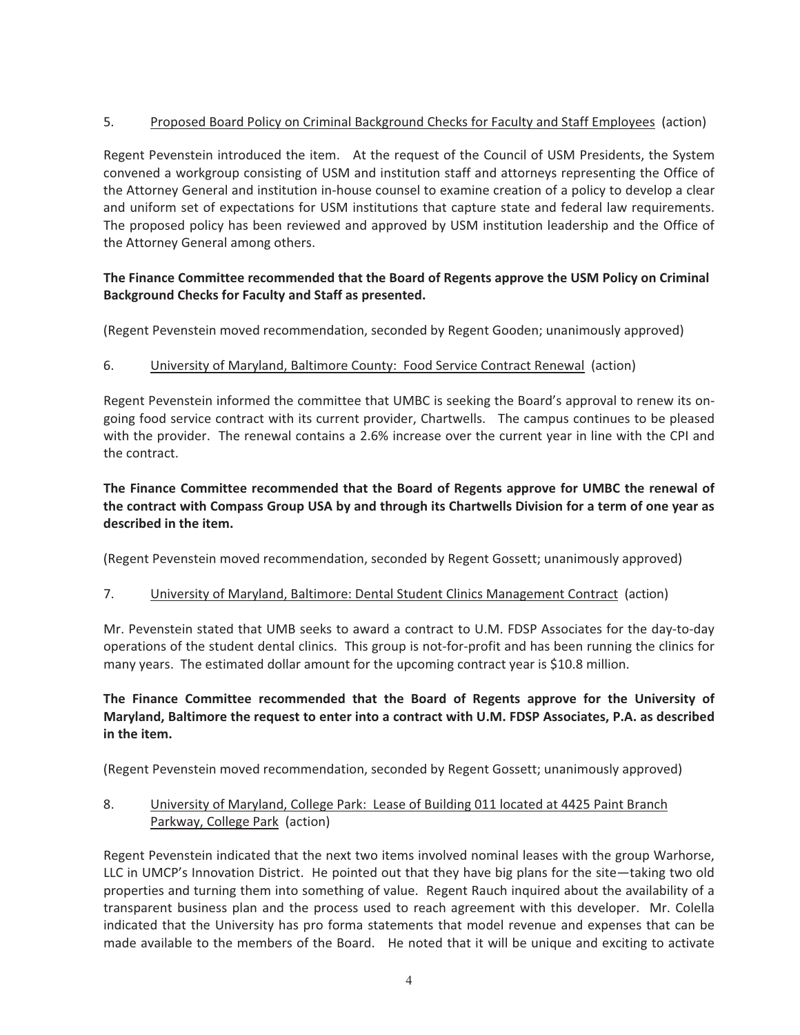# 5. Proposed Board Policy on Criminal Background Checks for Faculty and Staff Employees (action)

Regent Pevenstein introduced the item. At the request of the Council of USM Presidents, the System convened a workgroup consisting of USM and institution staff and attorneys representing the Office of the Attorney General and institution in-house counsel to examine creation of a policy to develop a clear and uniform set of expectations for USM institutions that capture state and federal law requirements. The proposed policy has been reviewed and approved by USM institution leadership and the Office of the Attorney General among others.

# **The Finance Committee recommended that the Board of Regents approve the USM Policy on Criminal Background Checks for Faculty and Staff as presented.**

(Regent Pevenstein moved recommendation, seconded by Regent Gooden; unanimously approved)

# 6. University of Maryland, Baltimore County: Food Service Contract Renewal (action)

Regent Pevenstein informed the committee that UMBC is seeking the Board's approval to renew its ongoing food service contract with its current provider, Chartwells. The campus continues to be pleased with the provider. The renewal contains a 2.6% increase over the current year in line with the CPI and the contract.

# **The Finance Committee recommended that the Board of Regents approve for UMBC the renewal of** the contract with Compass Group USA by and through its Chartwells Division for a term of one year as described in the item.

(Regent Pevenstein moved recommendation, seconded by Regent Gossett; unanimously approved)

# 7. University of Maryland, Baltimore: Dental Student Clinics Management Contract (action)

Mr. Pevenstein stated that UMB seeks to award a contract to U.M. FDSP Associates for the day-to-day operations of the student dental clinics. This group is not-for-profit and has been running the clinics for many years. The estimated dollar amount for the upcoming contract year is \$10.8 million.

# The Finance Committee recommended that the Board of Regents approve for the University of Maryland, Baltimore the request to enter into a contract with U.M. FDSP Associates, P.A. as described in the item.

(Regent Pevenstein moved recommendation, seconded by Regent Gossett; unanimously approved)

# 8. University of Maryland, College Park: Lease of Building 011 located at 4425 Paint Branch Parkway, College Park (action)

Regent Pevenstein indicated that the next two items involved nominal leases with the group Warhorse, LLC in UMCP's Innovation District. He pointed out that they have big plans for the site-taking two old properties and turning them into something of value. Regent Rauch inquired about the availability of a transparent business plan and the process used to reach agreement with this developer. Mr. Colella indicated that the University has pro forma statements that model revenue and expenses that can be made available to the members of the Board. He noted that it will be unique and exciting to activate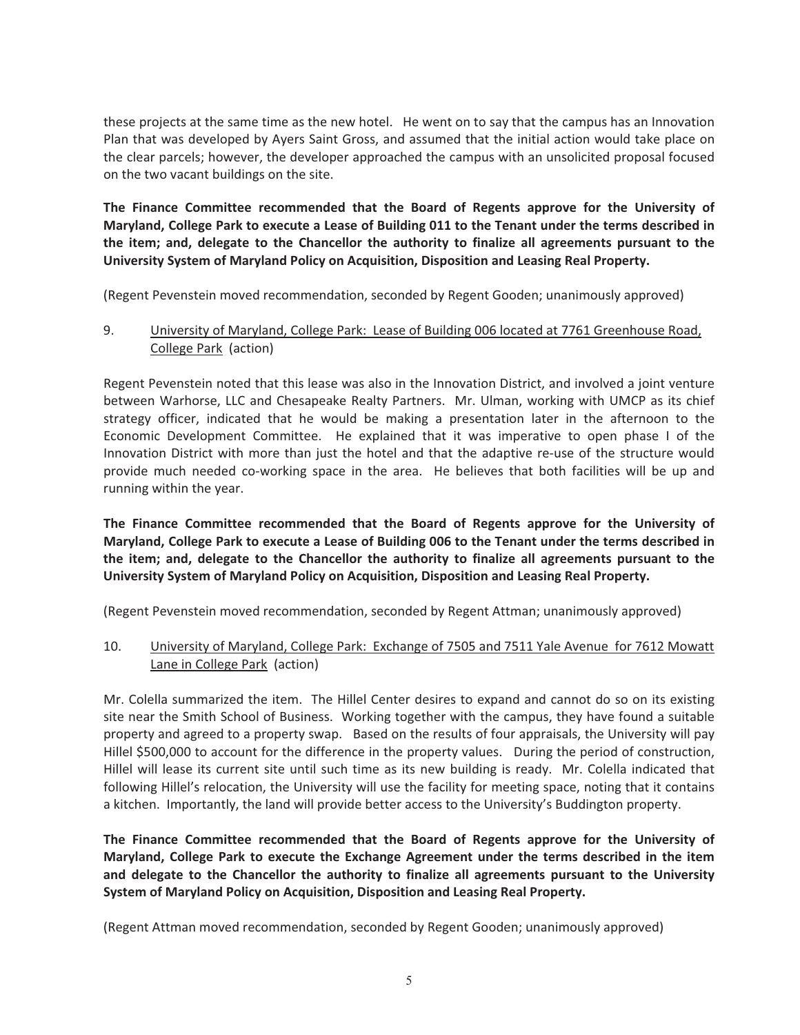these projects at the same time as the new hotel. He went on to say that the campus has an Innovation Plan that was developed by Ayers Saint Gross, and assumed that the initial action would take place on the clear parcels; however, the developer approached the campus with an unsolicited proposal focused on the two vacant buildings on the site.

The Finance Committee recommended that the Board of Regents approve for the University of Maryland, College Park to execute a Lease of Building 011 to the Tenant under the terms described in the item; and, delegate to the Chancellor the authority to finalize all agreements pursuant to the University System of Maryland Policy on Acquisition, Disposition and Leasing Real Property.

(Regent Pevenstein moved recommendation, seconded by Regent Gooden; unanimously approved)

### 9. University of Maryland, College Park: Lease of Building 006 located at 7761 Greenhouse Road, College Park (action)

Regent Pevenstein noted that this lease was also in the Innovation District, and involved a joint venture between Warhorse, LLC and Chesapeake Realty Partners. Mr. Ulman, working with UMCP as its chief strategy officer, indicated that he would be making a presentation later in the afternoon to the Economic Development Committee. He explained that it was imperative to open phase I of the Innovation District with more than just the hotel and that the adaptive re-use of the structure would provide much needed co-working space in the area. He believes that both facilities will be up and running within the year.

The Finance Committee recommended that the Board of Regents approve for the University of Maryland, College Park to execute a Lease of Building 006 to the Tenant under the terms described in the item; and, delegate to the Chancellor the authority to finalize all agreements pursuant to the University System of Maryland Policy on Acquisition, Disposition and Leasing Real Property.

(Regent Pevenstein moved recommendation, seconded by Regent Attman; unanimously approved)

### 10. University of Maryland, College Park: Exchange of 7505 and 7511 Yale Avenue for 7612 Mowatt Lane in College Park (action)

Mr. Colella summarized the item. The Hillel Center desires to expand and cannot do so on its existing site near the Smith School of Business. Working together with the campus, they have found a suitable property and agreed to a property swap. Based on the results of four appraisals, the University will pay Hillel \$500,000 to account for the difference in the property values. During the period of construction, Hillel will lease its current site until such time as its new building is ready. Mr. Colella indicated that following Hillel's relocation, the University will use the facility for meeting space, noting that it contains a kitchen. Importantly, the land will provide better access to the University's Buddington property.

The Finance Committee recommended that the Board of Regents approve for the University of Maryland, College Park to execute the Exchange Agreement under the terms described in the item and delegate to the Chancellor the authority to finalize all agreements pursuant to the University **System of Maryland Policy on Acquisition, Disposition and Leasing Real Property.** 

(Regent Attman moved recommendation, seconded by Regent Gooden; unanimously approved)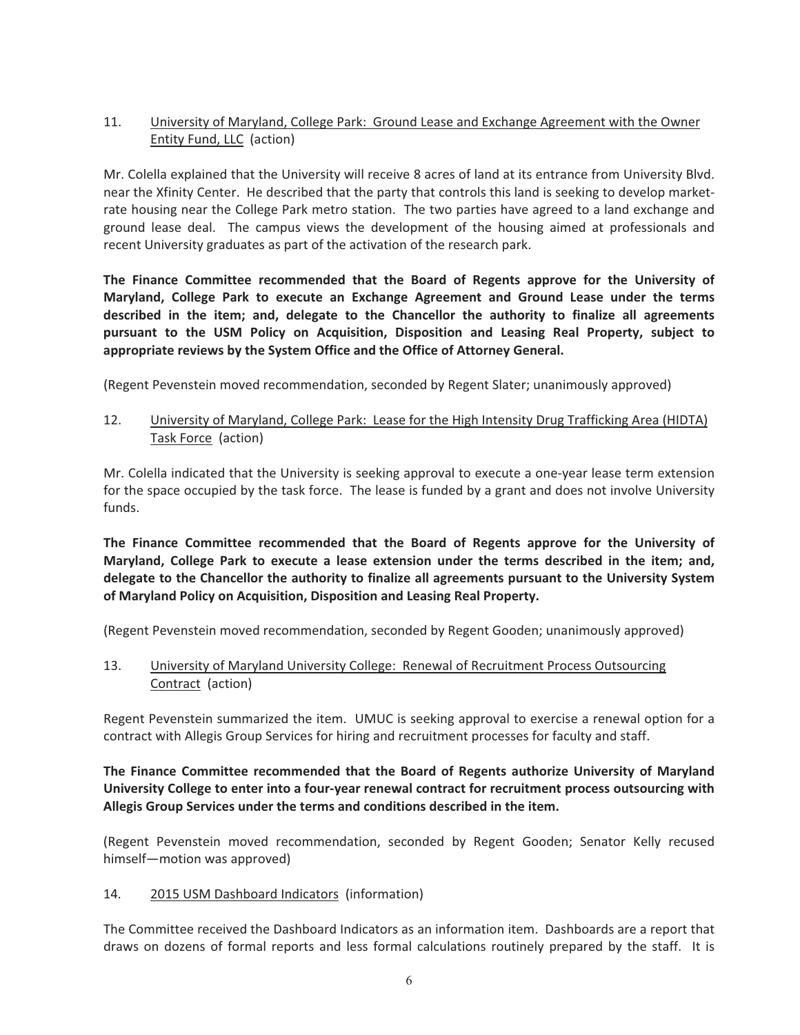# 11. University of Maryland, College Park: Ground Lease and Exchange Agreement with the Owner Entity Fund, LLC (action)

Mr. Colella explained that the University will receive 8 acres of land at its entrance from University Blvd. near the Xfinity Center. He described that the party that controls this land is seeking to develop marketrate housing near the College Park metro station. The two parties have agreed to a land exchange and ground lease deal. The campus views the development of the housing aimed at professionals and recent University graduates as part of the activation of the research park.

**The Finance Committee recommended that the Board of Regents approve for the University of** Maryland, College Park to execute an Exchange Agreement and Ground Lease under the terms described in the item; and, delegate to the Chancellor the authority to finalize all agreements pursuant to the USM Policy on Acquisition, Disposition and Leasing Real Property, subject to **appropriate reviews by the System Office and the Office of Attorney General.** 

(Regent Pevenstein moved recommendation, seconded by Regent Slater; unanimously approved)

#### 12. University of Maryland, College Park: Lease for the High Intensity Drug Trafficking Area (HIDTA) Task Force (action)

Mr. Colella indicated that the University is seeking approval to execute a one-year lease term extension for the space occupied by the task force. The lease is funded by a grant and does not involve University funds.

The Finance Committee recommended that the Board of Regents approve for the University of Maryland, College Park to execute a lease extension under the terms described in the item; and, **delegate to the Chancellor the authority to finalize all agreements pursuant to the University System of Maryland Policy on Acquisition, Disposition and Leasing Real Property.** 

(Regent Pevenstein moved recommendation, seconded by Regent Gooden; unanimously approved)

13. University of Maryland University College: Renewal of Recruitment Process Outsourcing Contract (action)

Regent Pevenstein summarized the item. UMUC is seeking approval to exercise a renewal option for a contract with Allegis Group Services for hiring and recruitment processes for faculty and staff.

### The Finance Committee recommended that the Board of Regents authorize University of Maryland University College to enter into a four-year renewal contract for recruitment process outsourcing with Allegis Group Services under the terms and conditions described in the item.

(Regent Pevenstein moved recommendation, seconded by Regent Gooden; Senator Kelly recused himself-motion was approved)

#### 14. 2015 USM Dashboard Indicators (information)

The Committee received the Dashboard Indicators as an information item. Dashboards are a report that draws on dozens of formal reports and less formal calculations routinely prepared by the staff. It is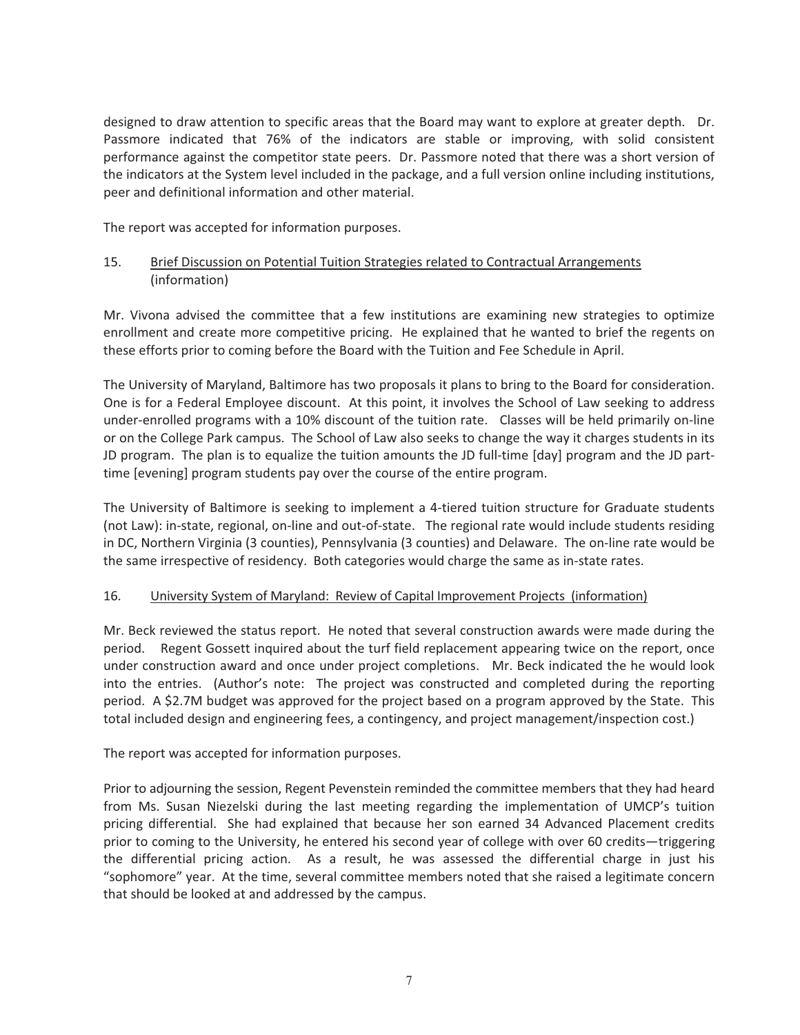designed to draw attention to specific areas that the Board may want to explore at greater depth. Dr. Passmore indicated that 76% of the indicators are stable or improving, with solid consistent performance against the competitor state peers. Dr. Passmore noted that there was a short version of the indicators at the System level included in the package, and a full version online including institutions, peer and definitional information and other material.

The report was accepted for information purposes.

# 15. Brief Discussion on Potential Tuition Strategies related to Contractual Arrangements (information)

Mr. Vivona advised the committee that a few institutions are examining new strategies to optimize enrollment and create more competitive pricing. He explained that he wanted to brief the regents on these efforts prior to coming before the Board with the Tuition and Fee Schedule in April.

The University of Maryland, Baltimore has two proposals it plans to bring to the Board for consideration. One is for a Federal Employee discount. At this point, it involves the School of Law seeking to address under-enrolled programs with a 10% discount of the tuition rate. Classes will be held primarily on-line or on the College Park campus. The School of Law also seeks to change the way it charges students in its JD program. The plan is to equalize the tuition amounts the JD full-time [day] program and the JD parttime [evening] program students pay over the course of the entire program.

The University of Baltimore is seeking to implement a 4-tiered tuition structure for Graduate students (not Law): in-state, regional, on-line and out-of-state. The regional rate would include students residing in DC, Northern Virginia (3 counties), Pennsylvania (3 counties) and Delaware. The on-line rate would be the same irrespective of residency. Both categories would charge the same as in-state rates.

#### 16. University System of Maryland: Review of Capital Improvement Projects (information)

Mr. Beck reviewed the status report. He noted that several construction awards were made during the period. Regent Gossett inquired about the turf field replacement appearing twice on the report, once under construction award and once under project completions. Mr. Beck indicated the he would look into the entries. (Author's note: The project was constructed and completed during the reporting period. A \$2.7M budget was approved for the project based on a program approved by the State. This total included design and engineering fees, a contingency, and project management/inspection cost.)

The report was accepted for information purposes.

Prior to adjourning the session, Regent Pevenstein reminded the committee members that they had heard from Ms. Susan Niezelski during the last meeting regarding the implementation of UMCP's tuition pricing differential. She had explained that because her son earned 34 Advanced Placement credits prior to coming to the University, he entered his second year of college with over 60 credits—triggering the differential pricing action. As a result, he was assessed the differential charge in just his "sophomore" year. At the time, several committee members noted that she raised a legitimate concern that should be looked at and addressed by the campus.